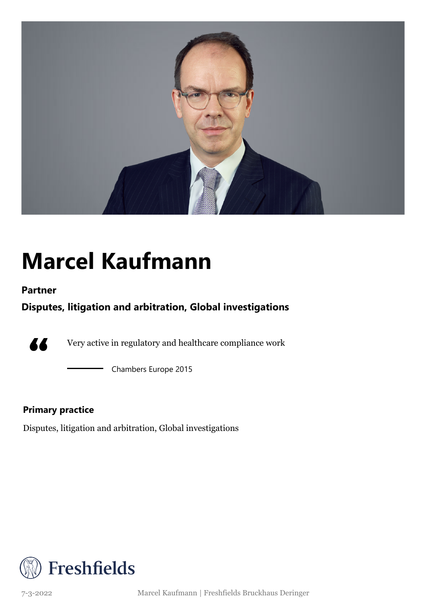

## **Marcel Kaufmann**

### **Partner**

### **Disputes, litigation and arbitration, Global investigations**



Very active in regulatory and healthcare compliance work

Chambers Europe 2015

### **Primary practice**

Disputes, litigation and arbitration, Global investigations



7-3-2022 Marcel Kaufmann | Freshfields Bruckhaus Deringer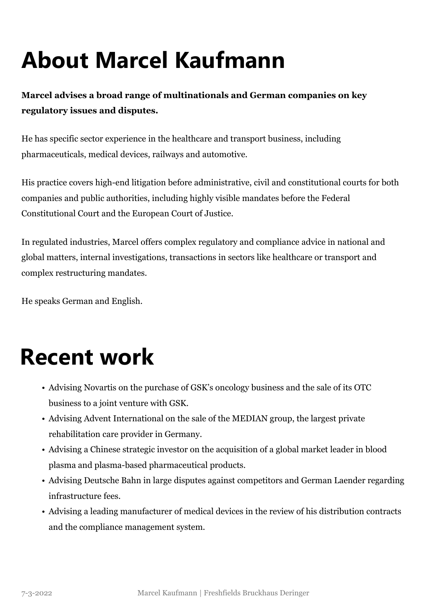# **About Marcel Kaufmann**

**Marcel advises a broad range of multinationals and German companies on key regulatory issues and disputes.**

He has specific sector experience in the healthcare and transport business, including pharmaceuticals, medical devices, railways and automotive.

His practice covers high-end litigation before administrative, civil and constitutional courts for both companies and public authorities, including highly visible mandates before the Federal Constitutional Court and the European Court of Justice.

In regulated industries, Marcel offers complex regulatory and compliance advice in national and global matters, internal investigations, transactions in sectors like healthcare or transport and complex restructuring mandates.

He speaks German and English.

### **Recent work**

- Advising Novartis on the purchase of GSK's oncology business and the sale of its OTC business to a joint venture with GSK.
- Advising Advent International on the sale of the MEDIAN group, the largest private rehabilitation care provider in Germany.
- Advising a Chinese strategic investor on the acquisition of a global market leader in blood plasma and plasma-based pharmaceutical products.
- Advising Deutsche Bahn in large disputes against competitors and German Laender regarding infrastructure fees.
- Advising a leading manufacturer of medical devices in the review of his distribution contracts and the compliance management system.